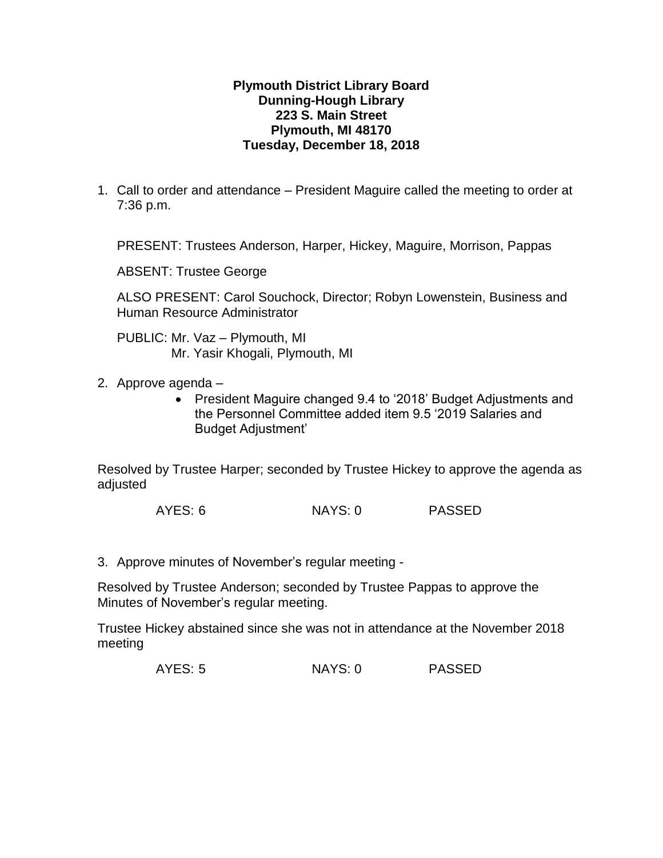## **Plymouth District Library Board Dunning-Hough Library 223 S. Main Street Plymouth, MI 48170 Tuesday, December 18, 2018**

1. Call to order and attendance – President Maguire called the meeting to order at 7:36 p.m.

PRESENT: Trustees Anderson, Harper, Hickey, Maguire, Morrison, Pappas

ABSENT: Trustee George

ALSO PRESENT: Carol Souchock, Director; Robyn Lowenstein, Business and Human Resource Administrator

PUBLIC: Mr. Vaz – Plymouth, MI Mr. Yasir Khogali, Plymouth, MI

2. Approve agenda –

 President Maguire changed 9.4 to '2018' Budget Adjustments and the Personnel Committee added item 9.5 '2019 Salaries and Budget Adjustment'

Resolved by Trustee Harper; seconded by Trustee Hickey to approve the agenda as adjusted

AYES: 6 NAYS: 0 PASSED

3. Approve minutes of November's regular meeting -

Resolved by Trustee Anderson; seconded by Trustee Pappas to approve the Minutes of November's regular meeting.

Trustee Hickey abstained since she was not in attendance at the November 2018 meeting

AYES: 5 NAYS: 0 PASSED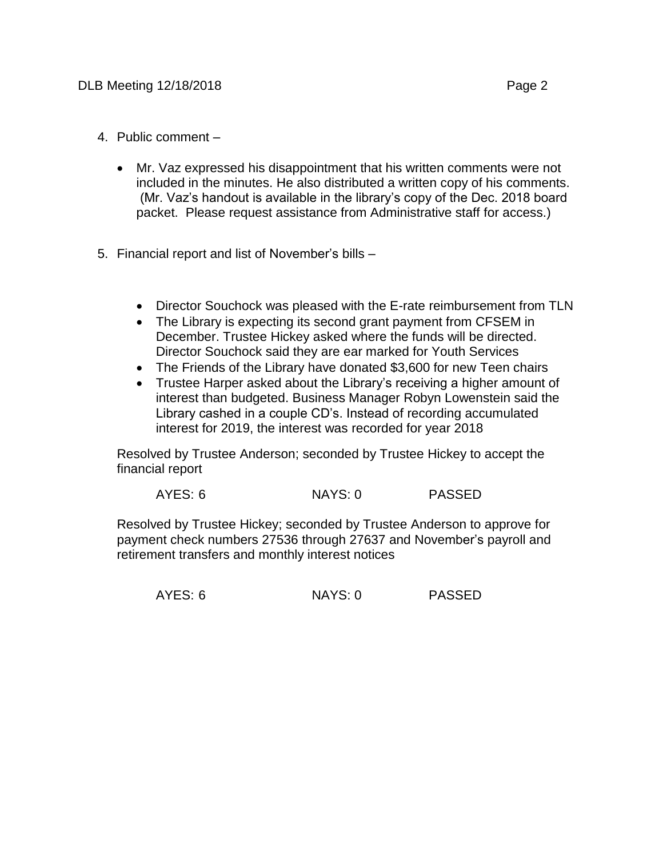- 4. Public comment
	- Mr. Vaz expressed his disappointment that his written comments were not included in the minutes. He also distributed a written copy of his comments. (Mr. Vaz's handout is available in the library's copy of the Dec. 2018 board packet. Please request assistance from Administrative staff for access.)
- 5. Financial report and list of November's bills
	- Director Souchock was pleased with the E-rate reimbursement from TLN
	- The Library is expecting its second grant payment from CFSEM in December. Trustee Hickey asked where the funds will be directed. Director Souchock said they are ear marked for Youth Services
	- The Friends of the Library have donated \$3,600 for new Teen chairs
	- Trustee Harper asked about the Library's receiving a higher amount of interest than budgeted. Business Manager Robyn Lowenstein said the Library cashed in a couple CD's. Instead of recording accumulated interest for 2019, the interest was recorded for year 2018

Resolved by Trustee Anderson; seconded by Trustee Hickey to accept the financial report

| AYES: 6 | NAYS: 0 | <b>PASSED</b> |
|---------|---------|---------------|
|         |         |               |

Resolved by Trustee Hickey; seconded by Trustee Anderson to approve for payment check numbers 27536 through 27637 and November's payroll and retirement transfers and monthly interest notices

AYES: 6 NAYS: 0 PASSED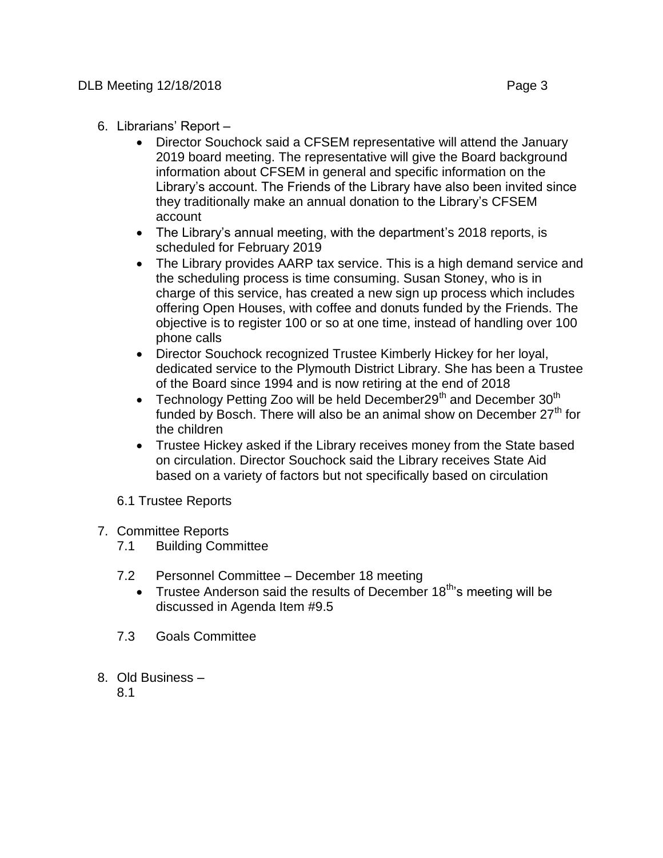- 6. Librarians' Report
	- Director Souchock said a CFSEM representative will attend the January 2019 board meeting. The representative will give the Board background information about CFSEM in general and specific information on the Library's account. The Friends of the Library have also been invited since they traditionally make an annual donation to the Library's CFSEM account
	- The Library's annual meeting, with the department's 2018 reports, is scheduled for February 2019
	- The Library provides AARP tax service. This is a high demand service and the scheduling process is time consuming. Susan Stoney, who is in charge of this service, has created a new sign up process which includes offering Open Houses, with coffee and donuts funded by the Friends. The objective is to register 100 or so at one time, instead of handling over 100 phone calls
	- Director Souchock recognized Trustee Kimberly Hickey for her loyal, dedicated service to the Plymouth District Library. She has been a Trustee of the Board since 1994 and is now retiring at the end of 2018
	- Technology Petting Zoo will be held December  $29<sup>th</sup>$  and December  $30<sup>th</sup>$ funded by Bosch. There will also be an animal show on December  $27<sup>th</sup>$  for the children
	- Trustee Hickey asked if the Library receives money from the State based on circulation. Director Souchock said the Library receives State Aid based on a variety of factors but not specifically based on circulation
	- 6.1 Trustee Reports
- 7. Committee Reports
	- 7.1 Building Committee
	- 7.2 Personnel Committee December 18 meeting
		- Trustee Anderson said the results of December  $18<sup>th</sup>$ 's meeting will be discussed in Agenda Item #9.5
	- 7.3 Goals Committee
- 8. Old Business
	- 8.1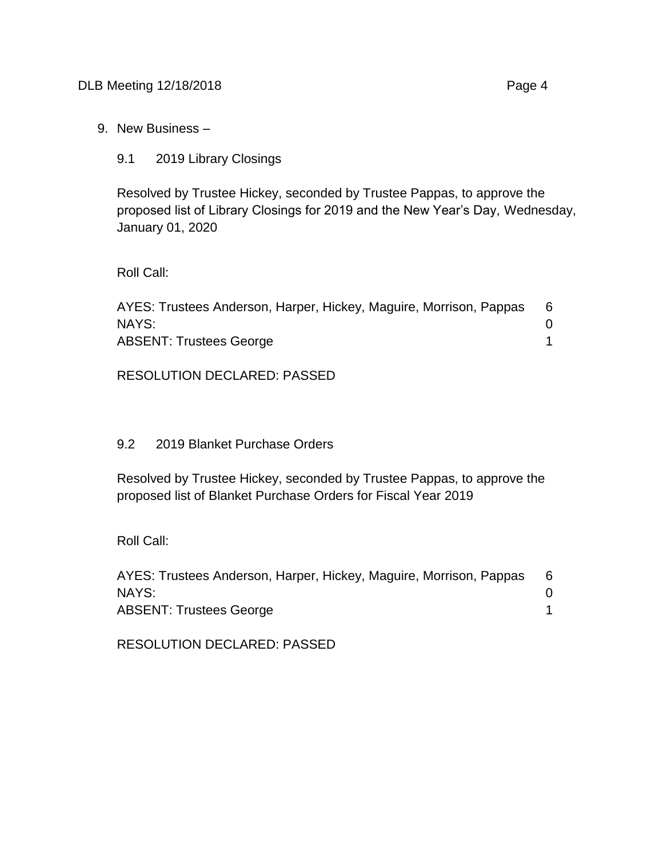9. New Business –

9.1 2019 Library Closings

Resolved by Trustee Hickey, seconded by Trustee Pappas, to approve the proposed list of Library Closings for 2019 and the New Year's Day, Wednesday, January 01, 2020

Roll Call:

| AYES: Trustees Anderson, Harper, Hickey, Maguire, Morrison, Pappas |  |
|--------------------------------------------------------------------|--|
| NAYS:                                                              |  |
| <b>ABSENT: Trustees George</b>                                     |  |

RESOLUTION DECLARED: PASSED

## 9.2 2019 Blanket Purchase Orders

Resolved by Trustee Hickey, seconded by Trustee Pappas, to approve the proposed list of Blanket Purchase Orders for Fiscal Year 2019

Roll Call:

| AYES: Trustees Anderson, Harper, Hickey, Maguire, Morrison, Pappas |  |
|--------------------------------------------------------------------|--|
| NAYS:                                                              |  |
| <b>ABSENT: Trustees George</b>                                     |  |

RESOLUTION DECLARED: PASSED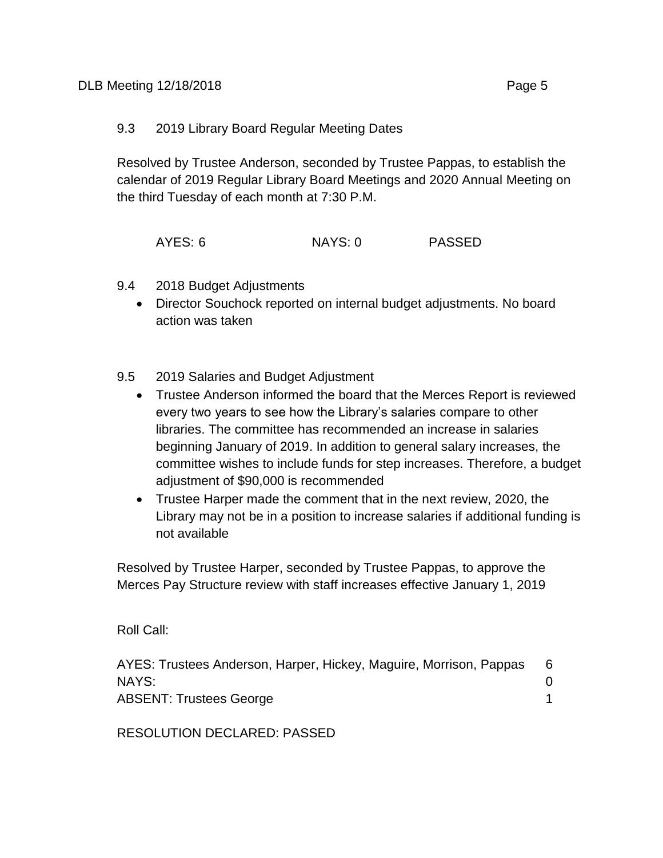## 9.3 2019 Library Board Regular Meeting Dates

Resolved by Trustee Anderson, seconded by Trustee Pappas, to establish the calendar of 2019 Regular Library Board Meetings and 2020 Annual Meeting on the third Tuesday of each month at 7:30 P.M.

AYES: 6 NAYS: 0 PASSED

- 9.4 2018 Budget Adjustments
	- Director Souchock reported on internal budget adjustments. No board action was taken
- 9.5 2019 Salaries and Budget Adjustment
	- Trustee Anderson informed the board that the Merces Report is reviewed every two years to see how the Library's salaries compare to other libraries. The committee has recommended an increase in salaries beginning January of 2019. In addition to general salary increases, the committee wishes to include funds for step increases. Therefore, a budget adjustment of \$90,000 is recommended
	- Trustee Harper made the comment that in the next review, 2020, the Library may not be in a position to increase salaries if additional funding is not available

Resolved by Trustee Harper, seconded by Trustee Pappas, to approve the Merces Pay Structure review with staff increases effective January 1, 2019

Roll Call:

| AYES: Trustees Anderson, Harper, Hickey, Maguire, Morrison, Pappas |  |
|--------------------------------------------------------------------|--|
| NAYS:                                                              |  |
| <b>ABSENT: Trustees George</b>                                     |  |

RESOLUTION DECLARED: PASSED